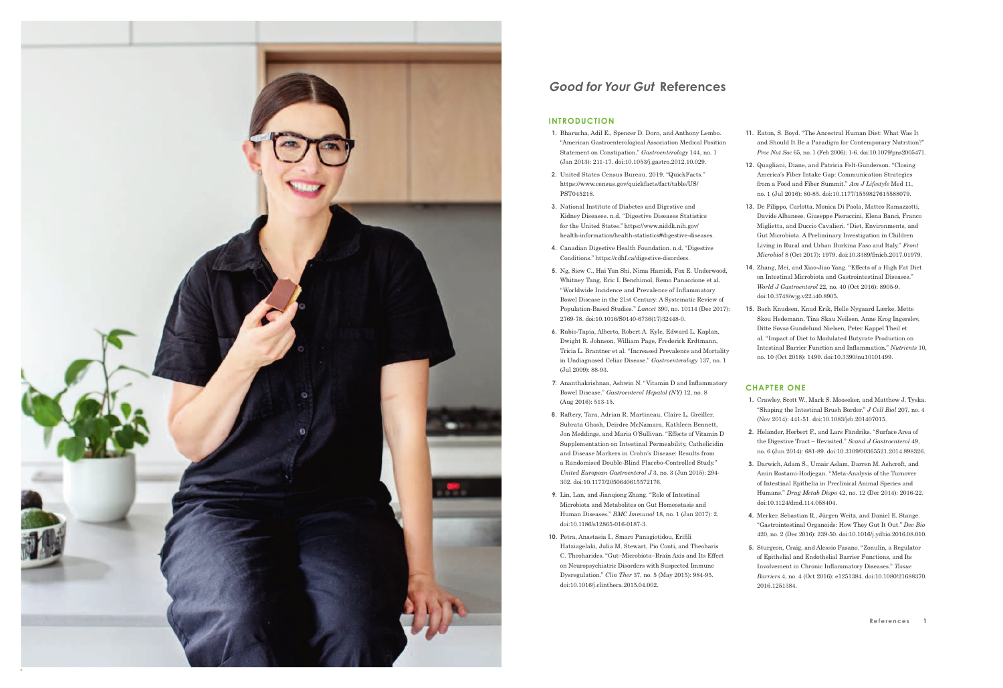

# **Good for Your Gut References**

## **INTRODUCTION**

- **1.** Bharucha, Adil E., Spencer D. Dorn, and Anthony Lembo. "American Gastroenterological Association Medical Position Statement on Constipation." *Gastroenterology* 144, no. 1 (Jan 2013): 211-17. doi:10.1053/j.gastro.2012.10.029.
- **2.** United States Census Bureau. 2019. "QuickFacts." https://www.census.gov/quickfacts/fact/table/US/ PST045218.
- **3.** National Institute of Diabetes and Digestive and Kidney Diseases. n.d. "Digestive Diseases Statistics for the United States." https://www.niddk.nih.gov/ health-information/health-statistics#digestive-diseases.
- **4.** Canadian Digestive Health Foundation. n.d. "Digestive Conditions." https://cdhf.ca/digestive-disorders.
- **5.** Ng, Siew C., Hai Yun Shi, Nima Hamidi, Fox E. Underwood, Whitney Tang, Eric I. Benchimol, Remo Panaccione et al. "Worldwide Incidence and Prevalence of Inflammatory Bowel Disease in the 21st Century: A Systematic Review of Population-Based Studies." *Lancet* 390, no. 10114 (Dec 2017): 2769-78. doi:10.1016/S0140-6736(17)32448-0.
- **6.** Rubio-Tapia, Alberto, Robert A. Kyle, Edward L. Kaplan, Dwight R. Johnson, William Page, Frederick Erdtmann, Tricia L. Brantner et al. "Increased Prevalence and Mortality in Undiagnosed Celiac Disease." *Gastroenterology* 137, no. 1 (Jul 2009): 88-93.
- **7.** Ananthakrishnan, Ashwin N. "Vitamin D and Inflammatory Bowel Disease." *Gastroenterol Hepatol (NY)* 12, no. 8 (Aug 2016): 513-15.
- **8.** Raftery, Tara, Adrian R. Martineau, Claire L. Greiller, Subrata Ghosh, Deirdre McNamara, Kathleen Bennett, Jon Meddings, and Maria O'Sullivan. "Effects of Vitamin D Supplementation on Intestinal Permeability, Cathelicidin and Disease Markers in Crohn's Disease: Results from a Randomised Double-Blind Placebo-Controlled Study." *United European Gastroenterol J* 3, no. 3 (Jun 2015): 294- 302. doi:10.1177/2050640615572176.
- **9.** Lin, Lan, and Jianqiong Zhang. "Role of Intestinal Microbiota and Metabolites on Gut Homeostasis and Human Diseases." *BMC Immunol* 18, no. 1 (Jan 2017): 2. doi:10.1186/s12865-016-0187-3.
- **10.** Petra, Anastasia I., Smaro Panagiotidou, Erifili Hatziagelaki, Julia M. Stewart, Pio Conti, and Theoharis C. Theoharides. "Gut–Microbiota–Brain Axis and Its Effect on Neuropsychiatric Disorders with Suspected Immune Dysregulation." *Clin Ther* 37, no. 5 (May 2015): 984-95. doi:10.1016/j.clinthera.2015.04.002.
- **11.** Eaton, S. Boyd. "The Ancestral Human Diet: What Was It and Should It Be a Paradigm for Contemporary Nutrition?" *Proc Nut Soc* 65, no. 1 (Feb 2006): 1-6. doi:10.1079/pns2005471.
- **12.** Quagliani, Diane, and Patricia Felt-Gunderson. "Closing America's Fiber Intake Gap: Communication Strategies from a Food and Fiber Summit." *Am J Lifestyle* Med 11, no. 1 (Jul 2016): 80-85. doi:10.1177/1559827615588079.
- **13.** De Filippo, Carlotta, Monica Di Paola, Matteo Ramazzotti, Davide Albanese, Giuseppe Pieraccini, Elena Banci, Franco Miglietta, and Duccio Cavalieri. "Diet, Environments, and Gut Microbiota. A Preliminary Investigation in Children Living in Rural and Urban Burkina Faso and Italy." *Front Microbiol* 8 (Oct 2017): 1979. doi:10.3389/fmicb.2017.01979.
- **14.** Zhang, Mei, and Xiao-Jiao Yang. "Effects of a High Fat Diet on Intestinal Microbiota and Gastrointestinal Diseases." *World J Gastroenterol* 22, no. 40 (Oct 2016): 8905-9. doi:10.3748/wjg.v22.i40.8905.
- **15.** Bach Knudsen, Knud Erik, Helle Nygaard Lærke, Mette Skou Hedemann, Tina Skau Neilsen, Anne Krog Ingerslev, Ditte Søvsø Gundelund Nielsen, Peter Kappel Theil et al. "Impact of Diet to Modulated Butyrate Production on Intestinal Barrier Function and Inflammation." *Nutrients* 10, no. 10 (Oct 2018): 1499. doi:10.3390/nu10101499.

## **CHAPTER ONE**

- **1.** Crawley, Scott W., Mark S. Mooseker, and Matthew J. Tyska. "Shaping the Intestinal Brush Border." *J Cell Biol* 207, no. 4 (Nov 2014): 441-51. doi:10.1083/jcb.201407015.
- **2.** Helander, Herbert F., and Lars Fändriks. "Surface Area of the Digestive Tract – Revisited." *Scand J Gastroenterol* 49, no. 6 (Jun 2014): 681-89. doi:10.3109/00365521.2014.898326.
- **3.** Darwich, Adam S., Umair Aslam, Darren M. Ashcroft, and Amin Rostami-Hodjegan. "Meta-Analysis of the Turnover of Intestinal Epithelia in Preclinical Animal Species and Humans." *Drug Metab Dispo* 42, no. 12 (Dec 2014): 2016-22. doi:10.1124/dmd.114.058404.
- **4.** Merker, Sebastian R., Jürgen Weitz, and Daniel E. Stange. "Gastrointestinal Organoids: How They Gut It Out." *Dev Bio* 420, no. 2 (Dec 2016): 239-50. doi:10.1016/j.ydbio.2016.08.010.
- **5.** Sturgeon, Craig, and Alessio Fasano. "Zonulin, a Regulator of Epithelial and Endothelial Barrier Functions, and Its Involvement in Chronic Inflammatory Diseases." *Tissue Barriers* 4, no. 4 (Oct 2016): e1251384. doi:10.1080/21688370. 2016.1251384.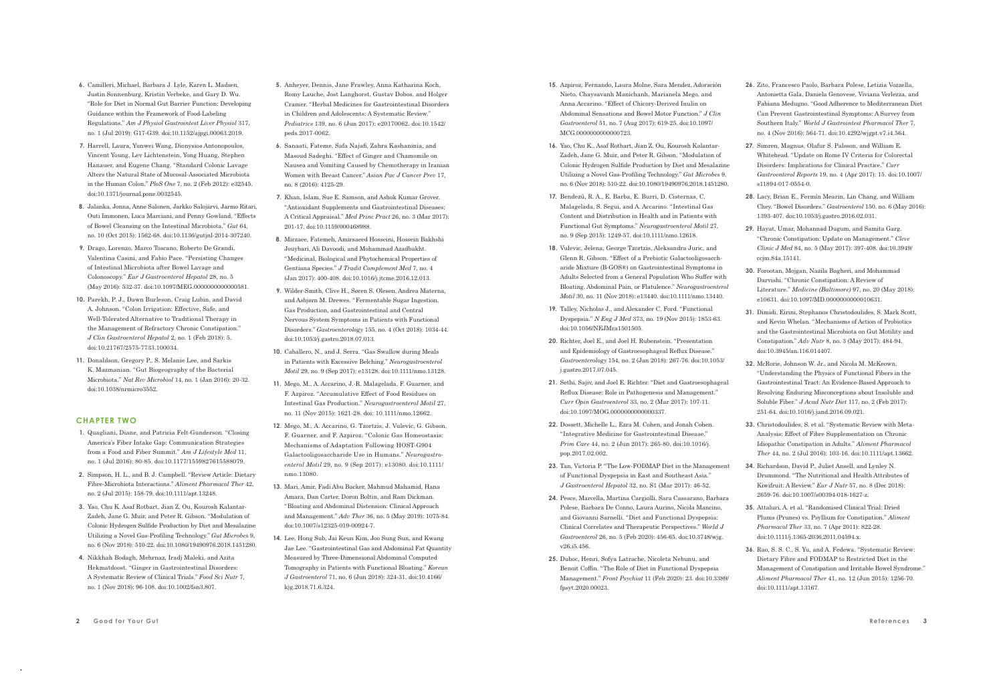- **6.** Camilleri, Michael, Barbara J. Lyle, Karen L. Madsen, Justin Sonnenburg, Kristin Verbeke, and Gary D. Wu. "Role for Diet in Normal Gut Barrier Function: Developing Guidance within the Framework of Food-Labeling Regulations." *Am J Physiol Gastrointest Liver Physiol* 317, no. 1 (Jul 2019): G17-G39. doi:10.1152/ajpgi.00063.2019.
- **7.** Harrell, Laura, Yunwei Wang, Dionysios Antonopoulos, Vincent Young, Lev Lichtenstein, Yong Huang, Stephen Hanauer, and Eugene Chang. "Standard Colonic Lavage Alters the Natural State of Mucosal-Associated Microbiota in the Human Colon." *PloS One* 7, no. 2 (Feb 2012): e32545. doi:10.1371/journal.pone.0032545.
- **8.** Jalanka, Jonna, Anne Salonen, Jarkko Salojärvi, Jarmo Ritari, Outi Immonen, Luca Marciani, and Penny Gowland. "Effects of Bowel Cleansing on the Intestinal Microbiota." *Gut* 64, no. 10 (Oct 2015): 1562-68. doi:10.1136/gutjnl-2014-307240.
- **9.** Drago, Lorenzo, Marco Toscano, Roberto De Grandi, Valentina Casini, and Fabio Pace. "Persisting Changes of Intestinal Microbiota after Bowel Lavage and Colonoscopy." *Eur J Gastroenterol Hepatol* 28, no. 5 (May 2016): 532-37. doi:10.1097/MEG.0000000000000581.
- **10.** Parekh, P. J., Dawn Burleson, Craig Lubin, and David A. Johnson. "Colon Irrigation: Effective, Safe, and Well-Tolerated Alternative to Traditional Therapy in the Management of Refractory Chronic Constipation." *J Clin Gastroenterol Hepatol* 2, no. 1 (Feb 2018): 5. doi:10.21767/2575-7733.100034.
- **11.** Donaldson, Gregory P., S. Melanie Lee, and Sarkis K. Mazmanian. "Gut Biogeography of the Bacterial Microbiota." *Nat Rev Microbiol* 14, no. 1 (Jan 2016): 20-32. doi:10.1038/nrmicro3552.

#### **CHAPTER TWO**

- **1.** Quagliani, Diane, and Patricia Felt-Gunderson. "Closing America's Fiber Intake Gap: Communication Strategies from a Food and Fiber Summit." *Am J Lifestyle Med* 11, no. 1 (Jul 2016): 80-85. doi:10.1177/1559827615588079.
- **2.** Simpson, H. L., and B. J. Campbell. "Review Article: Dietary Fibre-Microbiota Interactions." *Aliment Pharmacol Ther* 42, no. 2 (Jul 2015): 158-79. doi:10.1111/apt.13248.
- **3.** Yao, Chu K. Asaf Rotbart, Jian Z. Ou, Kourosh Kalantar-Zadeh, Jane G. Muir, and Peter R. Gibson. "Modulation of Colonic Hydrogen Sulfide Production by Diet and Mesalazine Utilizing a Novel Gas-Profiling Technology." *Gut Microbes* 9, no. 6 (Nov 2018): 510-22. doi:10.1080/19490976.2018.1451280.
- **4.** Nikkhah Bodagh, Mehrnaz, Iradj Maleki, and Azita Hekmatdoost. "Ginger in Gastrointestinal Disorders: A Systematic Review of Clinical Trials." *Food Sci Nutr* 7, no. 1 (Nov 2018): 96-108. doi:10.1002/fsn3.807.
- **5.** Anheyer, Dennis, Jane Frawley, Anna Katharina Koch, Romy Lauche, Jost Langhorst, Gustav Dobos, and Holger Cramer. "Herbal Medicines for Gastrointestinal Disorders in Children and Adolescents: A Systematic Review." *Pediatrics* 139, no. 6 (Jun 2017): e20170062. doi:10.1542/ peds.2017-0062.
- **6.** Sanaati, Fateme, Safa Najafi, Zahra Kashaninia, and Masoud Sadeghi. "Effect of Ginger and Chamomile on Nausea and Vomiting Caused by Chemotherapy in Iranian Women with Breast Cancer." *Asian Pac J Cancer Prev* 17, no. 8 (2016): 4125-29.
- **7.** Khan, Islam, Sue E. Samson, and Ashok Kumar Grover. "Antioxidant Supplements and Gastrointestinal Diseases: A Critical Appraisal." *Med Princ Pract* 26, no. 3 (Mar 2017): 201-17. doi:10.1159/000468988.
- **8.** Mirzaee, Fatemeh, Amirsaeed Hosseini, Hossein Bakhshi Jouybari, Ali Davoodi, and Mohammad Azadbakht. "Medicinal, Biological and Phytochemical Properties of Gentiana Species." *J Tradit Complement Med* 7, no. 4 (Jan 2017): 400-408. doi:10.1016/j.jtcme.2016.12.013.
- **9.** Wilder-Smith, Clive H., Søren S. Olesen, Andrea Materna, and Asbjørn M. Drewes. "Fermentable Sugar Ingestion, Gas Production, and Gastrointestinal and Central Nervous System Symptoms in Patients with Functional Disorders." *Gastroenterology* 155, no. 4 (Oct 2018): 1034-44. doi:10.1053/j.gastro.2018.07.013.
- **10.** Caballero, N., and J. Serra. "Gas Swallow during Meals in Patients with Excessive Belching." *Neurogastroenterol Motil* 29, no. 9 (Sep 2017): e13128. doi:10.1111/nmo.13128.
- **11.** Mego, M., A. Accarino, J.-R. Malagelada, F. Guarner, and F. Azpiroz. "Accumulative Effect of Food Residues on Intestinal Gas Production." *Neurogastroenterol Motil* 27, no. 11 (Nov 2015): 1621-28. doi: 10.1111/nmo.12662.
- **12.** Mego, M., A. Accarino, G. Tzortzis, J. Vulevic, G. Gibson, F. Guarner, and F. Azpiroz. "Colonic Gas Homeostasis: Mechanisms of Adaptation Following HOST-G904 Galacto oligo saccharide Use in Humans." *Neuro gastroenterol Motil* 29, no. 9 (Sep 2017): e13080. doi:10.1111/ nmo.13080.
- **13.** Mari, Amir, Fadi Abu Backer, Mahmud Mahamid, Hana Amara, Dan Carter, Doron Boltin, and Ram Dickman. "Bloating and Abdominal Distension: Clinical Approach and Management." *Adv Ther* 36, no. 5 (May 2019): 1075-84. doi:10.1007/s12325-019-00924-7.
- **14.** Lee, Hong Sub, Jai Keun Kim, Joo Sung Sun, and Kwang Jae Lee. "Gastrointestinal Gas and Abdominal Fat Quantity Measured by Three-Dimensional Abdominal Computed Tomography in Patients with Functional Bloating." *Korean J Gastroenterol* 71, no. 6 (Jun 2018): 324-31. doi:10.4166/ kjg.2018.71.6.324.
- **15.** Azpiroz, Fernando, Laura Molne, Sara Mendez, Adoración Nieto, Chaysavanh Manichanh, Marianela Mego, and Anna Accarino. "Effect of Chicory-Derived Inulin on Abdominal Sensations and Bowel Motor Function." *J Clin Gastroenterol* 51, no. 7 (Aug 2017): 619-25. doi:10.1097/ MCG.0000000000000723.
- **16.** Yao, Chu K., Asaf Rotbart, Jian Z. Ou, Kourosh Kalantar-Zadeh, Jane G. Muir, and Peter R. Gibson. "Modulation of Colonic Hydrogen Sulfide Production by Diet and Mesalazine Utilizing a Novel Gas-Profiling Technology." *Gut Microbes* 9, no. 6 (Nov 2018): 510-22. doi:10.1080/19490976.2018.1451280.
- **17.** Bendezú, R. A., E. Barba, E. Burri, D. Cisternas, C. Malagelada, S. Segui, and A. Accarino. "Intestinal Gas Content and Distribution in Health and in Patients with Functional Gut Symptoms." *Neurogastroenterol Motil* 27, no. 9 (Sep 2015): 1249-57. doi:10.1111/nmo.12618.
- **18.** Vulevic, Jelena, George Tzortzis, Aleksandra Juric, and Glenn R. Gibson. "Effect of a Prebiotic Galactooligosaccharide Mixture (B-GOS®) on Gastrointestinal Symptoms in Adults Selected from a General Population Who Suffer with Bloating, Abdominal Pain, or Flatulence." *Neurogastroenterol Motil* 30, no. 11 (Nov 2018): e13440. doi:10.1111/nmo.13440.
- **19.** Talley, Nicholas J., and Alexander C. Ford. "Functional Dyspepsia." *N Eng J Med* 373, no. 19 (Nov 2015): 1853-63. doi:10.1056/NEJMra1501505.
- **20.** Richter, Joel E., and Joel H. Rubenstein. "Presentation and Epidemiology of Gastroesophageal Reflux Disease.' *Gastroenterology* 154, no. 2 (Jan 2018): 267-76. doi:10.1053/ j.gastro.2017.07.045.
- **21.** Sethi, Sajiv, and Joel E. Richter. "Diet and Gastroesophageal Reflux Disease: Role in Pathogenesis and Management." *Curr Opin Gastroenterol* 33, no. 2 (Mar 2017): 107-11. doi:10.1097/MOG.0000000000000337.
- **22.** Dossett, Michelle L., Ezra M. Cohen, and Jonah Cohen. "Integrative Medicine for Gastrointestinal Disease." *Prim Care* 44, no. 2 (Jun 2017): 265-80. doi:10.1016/j. pop.2017.02.002.
- **23.** Tan, Victoria P. "The Low-FODMAP Diet in the Management of Functional Dyspepsia in East and Southeast Asia." *J Gastroenterol Hepatol* 32, no. S1 (Mar 2017): 46-52.
- **24.** Pesce, Marcella, Martina Cargiolli, Sara Cassarano, Barbara Polese, Barbara De Conno, Laura Aurino, Nicola Mancino, and Giovanni Sarnelli. "Diet and Functional Dyspepsia: Clinical Correlates and Therapeutic Perspectives." *World J Gastroenterol* 26, no. 5 (Feb 2020): 456-65. doi:10.3748/wjg. v26.i5.456.
- **25.** Duboc, Henri, Sofya Latrache, Nicoleta Nebunu, and Benoit Coffin. "The Role of Diet in Functional Dyspepsia Management." *Front Psychiat* 11 (Feb 2020): 23. doi:10.3389/ fpsyt.2020.00023.
- **26.** Zito, Francesco Paolo, Barbara Polese, Letizia Vozzella, Antonietta Gala, Daniela Genovese, Viviana Verlezza, and Fabiana Medugno. "Good Adherence to Mediterranean Diet Can Prevent Gastrointestinal Symptoms: A Survey from Southern Italy." *World J Gastrointest Pharmacol Ther* 7, no. 4 (Nov 2016): 564-71. doi:10.4292/wjgpt.v7.i4.564.
- **27.** Simren, Magnus, Olafur S. Palsson, and William E. Whitehead. "Update on Rome IV Criteria for Colorectal Disorders: Implications for Clinical Practice." *Curr Gastroenterol Reports* 19, no. 4 (Apr 2017): 15. doi:10.1007/ s11894-017-0554-0.
- **28.** Lacy, Brian E., Fermín Mearin, Lin Chang, and William Chey. "Bowel Disorders." *Gastroenterol* 150, no. 6 (May 2016): 1393-407. doi:10.1053/j.gastro.2016.02.031.
- **29.** Hayat, Umar, Mohannad Dugum, and Samita Garg. "Chronic Constipation: Update on Management." *Cleve Clinic J Med* 84, no. 5 (May 2017): 397-408. doi:10.3949/ ccjm.84a.15141.
- **30.** Forootan, Mojgan, Nazila Bagheri, and Mohammad Darvishi. "Chronic Constipation: A Review of Literature." *Medicine (Baltimore)* 97, no. 20 (May 2018): e10631. doi:10.1097/MD.0000000000010631.
- **31.** Dimidi, Eirini, Stephanos Christodoulides, S. Mark Scott, and Kevin Whelan. "Mechanisms of Action of Probiotics and the Gastrointestinal Microbiota on Gut Motility and Constipation." *Adv Nutr* 8, no. 3 (May 2017): 484-94. doi:10.3945/an.116.014407.
- **32.** McRorie, Johnson W. Jr., and Nicola M. McKeown. "Understanding the Physics of Functional Fibers in the Gastrointestinal Tract: An Evidence-Based Approach to Resolving Enduring Misconceptions about Insoluble and Soluble Fiber." *J Acad Nutr Diet* 117, no. 2 (Feb 2017): 251-64. doi:10.1016/j.jand.2016.09.021.
- **33.** Christodoulides, S. et al. "Systematic Review with Meta-Analysis: Effect of Fibre Supplementation on Chronic Idiopathic Constipation in Adults." *Aliment Pharmacol Ther* 44, no. 2 (Jul 2016): 103-16. doi:10.1111/apt.13662.
- **34.** Richardson, David P., Juliet Ansell, and Lynley N. Drummond. "The Nutritional and Health Attributes of Kiwifruit: A Review." *Eur J Nutr* 57, no. 8 (Dec 2018): 2659-76. doi:10.1007/s00394-018-1627-z.
- **35.** Attaluri, A. et al. "Randomised Clinical Trial: Dried Plums (Prunes) vs. Psyllium for Constipation." *Aliment Pharmacol Ther* 33, no. 7 (Apr 2011): 822-28. doi:10.1111/j.1365-2036.2011.04594.x.
- **36.** Rao, S. S. C., S. Yu, and A. Fedewa. "Systematic Review: Dietary Fibre and FODMAP to Restricted Diet in the Management of Constipation and Irritable Bowel Syndrome." *Aliment Pharmacol Ther* 41, no. 12 (Jun 2015): 1256-70. doi:10.1111/apt.13167.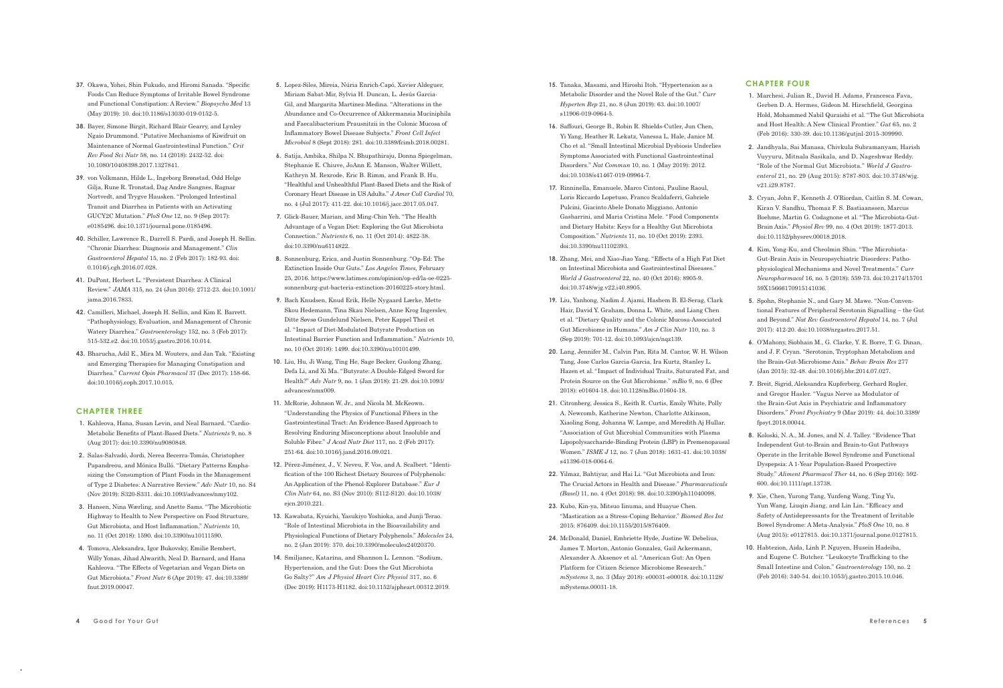- **37.** Okawa, Yohei, Shin Fukudo, and Hiromi Sanada. "Specific Foods Can Reduce Symptoms of Irritable Bowel Syndrome and Functional Constipation: A Review." *Biopsycho Med* 13 (May 2019): 10. doi:10.1186/s13030-019-0152-5.
- **38.** Bayer, Simone Birgit, Richard Blair Gearry, and Lynley Ngaio Drummond. "Putative Mechanisms of Kiwifruit on Maintenance of Normal Gastrointestinal Function." *Crit Rev Food Sci Nutr* 58, no. 14 (2018): 2432-52. doi: 10.1080/10408398.2017.1327841.
- **39.** von Volkmann, Hilde L., Ingeborg Brønstad, Odd Helge Gilja, Rune R. Tronstad, Dag Andre Sangnes, Ragnar Nortvedt, and Trygve Hausken. "Prolonged Intestinal Transit and Diarrhea in Patients with an Activating GUCY2C Mutation." *PloS One* 12, no. 9 (Sep 2017): e0185496. doi:10.1371/journal.pone.0185496.
- **40.** Schiller, Lawrence R., Darrell S. Pardi, and Joseph H. Sellin. "Chronic Diarrhea: Diagnosis and Management." *Clin Gastroenterol Hepatol* 15, no. 2 (Feb 2017): 182-93. doi: 0.1016/j.cgh.2016.07.028.
- **41.** DuPont, Herbert L. "Persistent Diarrhea: A Clinical Review." *JAMA* 315, no. 24 (Jun 2016): 2712-23. doi:10.1001/ jama.2016.7833.
- **42.** Camilleri, Michael, Joseph H. Sellin, and Kim E. Barrett. "Pathophysiology, Evaluation, and Management of Chronic Watery Diarrhea." *Gastroenterology* 152, no. 3 (Feb 2017): 515-532.e2. doi:10.1053/j.gastro.2016.10.014.
- **43.** Bharucha, Adil E., Mira M. Wouters, and Jan Tak. "Existing and Emerging Therapies for Managing Constipation and Diarrhea." *Current Opin Pharmacol* 37 (Dec 2017): 158-66. doi:10.1016/j.coph.2017.10.015.

#### **CHAPTER THREE**

- **1.** Kahleova, Hana, Susan Levin, and Neal Barnard. "Cardio-Metabolic Benefits of Plant-Based Diets." *Nutrients* 9, no. 8 (Aug 2017): doi:10.3390/nu9080848.
- **2.** Salas-Salvadó, Jordi, Nerea Becerra-Tomás, Christopher Papandreou, and Mónica Bulló. "Dietary Patterns Emphasizing the Consumption of Plant Foods in the Management of Type 2 Diabetes: A Narrative Review." *Adv Nutr* 10, no. S4 (Nov 2019): S320-S331. doi:10.1093/advances/nmy102.
- **3.** Hansen, Nina Wærling, and Anette Sams. "The Microbiotic Highway to Health to New Perspective on Food Structure, Gut Microbiota, and Host Inflammation." *Nutrients* 10, no. 11 (Oct 2018): 1590. doi:10.3390/nu10111590.
- **4.** Tomova, Aleksandra, Igor Bukovsky, Emilie Rembert, Willy Yonas, Jihad Alwarith, Neal D. Barnard, and Hana Kahleova. "The Effects of Vegetarian and Vegan Diets on Gut Microbiota." *Front Nutr* 6 (Apr 2019): 47. doi:10.3389/ fnut.2019.00047.
- **5.** Lopez-Siles, Mireia, Núria Enrich-Capó, Xavier Aldeguer, Miriam Sabat-Mir, Sylvia H. Duncan, L. Jesús Garcia-Gil, and Margarita Martinez-Medina. "Alterations in the Abundance and Co-Occurrence of Akkermansia Muciniphila and Faecalibacterium Prausnitzii in the Colonic Mucosa of Inflammatory Bowel Disease Subjects." *Front Cell Infect Microbiol* 8 (Sept. 2018): 281. doi:10.3389/fcimb.2018.00281.
- **6.** Satija, Ambika, Shilpa N. Bhupathiraju, Donna Spiegelman, Stephanie E. Chiuve, JoAnn E. Manson, Walter Willett, Kathryn M. Rexrode, Eric B. Rimm, and Frank B. Hu. "Healthful and Unhealthful Plant-Based Diets and the Risk of Coronary Heart Disease in US Adults." *J Amer Coll Cardiol* 70, no. 4 (Jul 2017): 411-22. doi:10.1016/j.jacc.2017.05.047.
- **7.** Glick-Bauer, Marian, and Ming-Chin Yeh. "The Health Advantage of a Vegan Diet: Exploring the Gut Microbiota Connection." *Nutrients* 6, no. 11 (Oct 2014): 4822-38. doi:10.3390/nu6114822.
- **8.** Sonnenburg, Erica, and Justin Sonnenburg. "Op-Ed: The Extinction Inside Our Guts." *Los Angeles Times,* February 25, 2016. https://www.latimes.com/opinion/op-ed/la-oe-0225 sonnenburg-gut-bacteria-extinction-20160225-story.html.
- **9.** Bach Knudsen, Knud Erik, Helle Nygaard Lærke, Mette Skou Hedemann, Tina Skau Nielsen, Anne Krog Ingerslev, Ditte Søvsø Gundelund Nielsen, Peter Kappel Theil et al. " Impact of Diet-Modulated Butyrate Production on Intestinal Barrier Function and Inflammation." *Nutrients* 10, no. 10 (Oct 2018): 1499. doi:10.3390/nu10101499.
- **10.** Liu, Hu, Ji Wang, Ting He, Sage Becker, Guolong Zhang, Defa Li, and Xi Ma. "Butyrate: A Double-Edged Sword for Health?" *Adv Nutr* 9, no. 1 (Jan 2018): 21-29. doi:10.1093/ advances/nmx009.
- **11.** McRorie, Johnson W. Jr., and Nicola M. McKeown. "Understanding the Physics of Functional Fibers in the Gastrointestinal Tract: An Evidence-Based Approach to Resolving Enduring Misconceptions about Insoluble and Soluble Fiber." *J Acad Nutr Diet* 117, no. 2 (Feb 2017): 251-64. doi:10.1016/j.jand.2016.09.021.
- **12.** Pérez-Jiménez, J., V. Neveu, F. Vos, and A. Scalbert. " Identification of the 100 Richest Dietary Sources of Polyphenols: An Application of the Phenol-Explorer Database." *Eur J Clin Nutr* 64, no. S3 (Nov 2010): S112-S120. doi:10.1038/ ejcn.2010.221.
- **13.** Kawabata, Kyuichi, Yasukiyo Yoshioka, and Junji Terao. "Role of Intestinal Microbiota in the Bioavailability and Physiological Functions of Dietary Polyphenols." *Molecules* 24, no. 2 (Jan 2019): 370. doi:10.3390/molecules24020370.
- **14.** Smiljanec, Katarina, and Shannon L. Lennon. "Sodium, Hypertension, and the Gut: Does the Gut Microbiota Go Salty?" *Am J Physiol Heart Circ Physiol* 317, no. 6 (Dec 2019): H1173-H1182. doi:10.1152/ajpheart.00312.2019.
- **15.** Tanaka, Masami, and Hiroshi Itoh. "Hypertension as a Metabolic Disorder and the Novel Role of the Gut." *Curr Hyperten Rep* 21, no. 8 (Jun 2019): 63. doi:10.1007/ s11906-019-0964-5.
- **16.** Saffouri, George B., Robin R. Shields-Cutler, Jun Chen, Yi Yang, Heather R. Lekatz, Vanessa L. Hale, Janice M. Cho et al. "Small Intestinal Microbial Dysbiosis Underlies Symptoms Associated with Functional Gastrointestinal Disorders." *Nat Commun* 10, no. 1 (May 2019): 2012. doi:10.1038/s41467-019-09964-7.
- **17.** Rinninella, Emanuele, Marco Cintoni, Pauline Raoul, Loris Riccardo Lopetuso, Franco Scaldaferri, Gabriele Pulcini, Giacinto Abele Donato Miggiano, Antonio Gasbarrini, and Maria Cristina Mele. "Food Components and Dietary Habits: Keys for a Healthy Gut Microbiota Composition." *Nutrients* 11, no. 10 (Oct 2019): 2393. doi:10.3390/nu11102393.
- **18.** Zhang, Mei, and Xiao-Jiao Yang. "Effects of a High Fat Diet on Intestinal Microbiota and Gastrointestinal Diseases." *World J Gastroenterol* 22, no. 40 (Oct 2016): 8905-9. doi:10.3748/wjg.v22.i40.8905.
- **19.** Liu, Yanhong, Nadim J. Ajami, Hashem B. El-Serag, Clark Hair, David Y. Graham, Donna L. White, and Liang Chen et al. "Dietary Quality and the Colonic Mucosa-Associated Gut Microbiome in Humans." *Am J Clin Nutr* 110, no. 3 (Sep 2019): 701-12. doi:10.1093/ajcn/nqz139.
- **20.** Lang, Jennifer M., Calvin Pan, Rita M. Cantor, W. H. Wilson Tang, Jose Carlos Garcia-Garcia, Ira Kurtz, Stanley L. Hazen et al. " Impact of Individual Traits, Saturated Fat, and Protein Source on the Gut Microbiome." *mBio* 9, no. 6 (Dec 2018): e01604-18. doi:10.1128/mBio.01604-18.
- **21.** Citronberg, Jessica S., Keith R. Curtis, Emily White, Polly A. Newcomb, Katherine Newton, Charlotte Atkinson, Xiaoling Song, Johanna W. Lampe, and Meredith Aj Hullar. "Association of Gut Microbial Communities with Plasma Lipopolysaccharide-Binding Protein (LBP) in Premenopausal Women." *ISME J* 12, no. 7 (Jun 2018): 1631-41. doi:10.1038/ s41396-018-0064-6.
- **22.** Yilmaz, Bahtiyar, and Hai Li. "Gut Microbiota and Iron: The Crucial Actors in Health and Disease." *Pharmaceuticals (Basel)* 11, no. 4 (Oct 2018): 98. doi:10.3390/ph11040098.
- **23.** Kubo, Kin-ya, Mitsuo Iinuma, and Huayue Chen. "Mastication as a Stress-Coping Behavior." *Biomed Res Int* 2015: 876409. doi:10.1155/2015/876409.
- **24.** McDonald, Daniel, Embriette Hyde, Justine W. Debelius, James T. Morton, Antonio Gonzalez, Gail Ackermann, Alexander A. Aksenov et al. "American Gut: An Open Platform for Citizen Science Microbiome Research." *mSystems* 3, no. 3 (May 2018): e00031-e00018. doi:10.1128/ mSystems.00031-18.

## **CHAPTER FOUR**

- **1.** Marchesi, Julian R., David H. Adams, Francesca Fava, Gerben D. A. Hermes, Gideon M. Hirschfield, Georgina Hold, Mohammed Nabil Quraishi et al. "The Gut Microbiota and Host Health: A New Clinical Frontier." *Gut* 65, no. 2 (Feb 2016): 330-39. doi:10.1136/gutjnl-2015-309990.
- **2.** Jandhyala, Sai Manasa, Chivkula Subramanyam, Harish Vuyyuru, Mitnala Sasikala, and D. Nageshwar Reddy. "Role of the Normal Gut Microbiota." *World J Gastroenterol* 21, no. 29 (Aug 2015): 8787-803. doi:10.3748/wjg. v21.i29.8787.
- **3.** Cryan, John F., Kenneth J. O'Riordan, Caitlin S. M. Cowan, Kiran V. Sandhu, Thomaz F. S. Bastiaanssen, Marcus Boehme, Martin G. Codagnone et al. "The Microbiota-Gut-Brain Axis." *Physiol Rev* 99, no. 4 (Oct 2019): 1877-2013. doi:10.1152/physrev.00018.2018.
- **4.** Kim, Yong-Ku, and Cheolmin Shin. "The Microbiota-Gut-Brain Axis in Neuropsychiatric Disorders: Pathophysio logical Mechanisms and Novel Treatments." *Curr Neuro pharmacol* 16, no. 5 (2018): 559-73. doi:10.2174/15701 59X15666170915141036.
- **5.** Spohn, Stephanie N., and Gary M. Mawe. "Non-Conventional Features of Peripheral Serotonin Signalling – the Gut and Beyond." *Nat Rev Gastroenterol Hepatol* 14, no. 7 (Jul 2017): 412-20. doi:10.1038/nrgastro.2017.51.
- **6.** O'Mahony, Siobhain M., G. Clarke, Y. E. Borre, T. G. Dinan, and J. F. Cryan. "Serotonin, Tryptophan Metabolism and the Brain-Gut-Microbiome Axis." *Behav Brain Res* 277 (Jan 2015): 32-48. doi:10.1016/j.bbr.2014.07.027.
- **7.** Breit, Sigrid, Aleksandra Kupferberg, Gerhard Rogler, and Gregor Hasler. "Vagus Nerve as Modulator of the Brain-Gut Axis in Psychiatric and Inflammatory Disorders." *Front Psychiatry* 9 (Mar 2019): 44. doi:10.3389/ fpsyt.2018.00044.
- **8.** Koloski, N. A., M. Jones, and N. J. Talley. "Evidence That Independent Gut-to-Brain and Brain-to-Gut Pathways Operate in the Irritable Bowel Syndrome and Functional Dyspepsia: A 1-Year Population-Based Prospective Study." *Aliment Pharmacol Ther* 44, no. 6 (Sep 2016): 592- 600. doi:10.1111/apt.13738.
- **9.** Xie, Chen, Yurong Tang, Yunfeng Wang, Ting Yu, Yun Wang, Liuqin Jiang, and Lin Lin. "Efficacy and Safety of Antidepressants for the Treatment of Irritable Bowel Syndrome: A Meta-Analysis." *PloS One* 10, no. 8 (Aug 2015): e0127815. doi:10.1371/journal.pone.0127815.
- **10.** Habtezion, Aida, Linh P. Nguyen, Husein Hadeiba, and Eugene C. Butcher. "Leukocyte Trafficking to the Small Intestine and Colon." *Gastroenterology* 150, no. 2 (Feb 2016): 340-54. doi:10.1053/j.gastro.2015.10.046.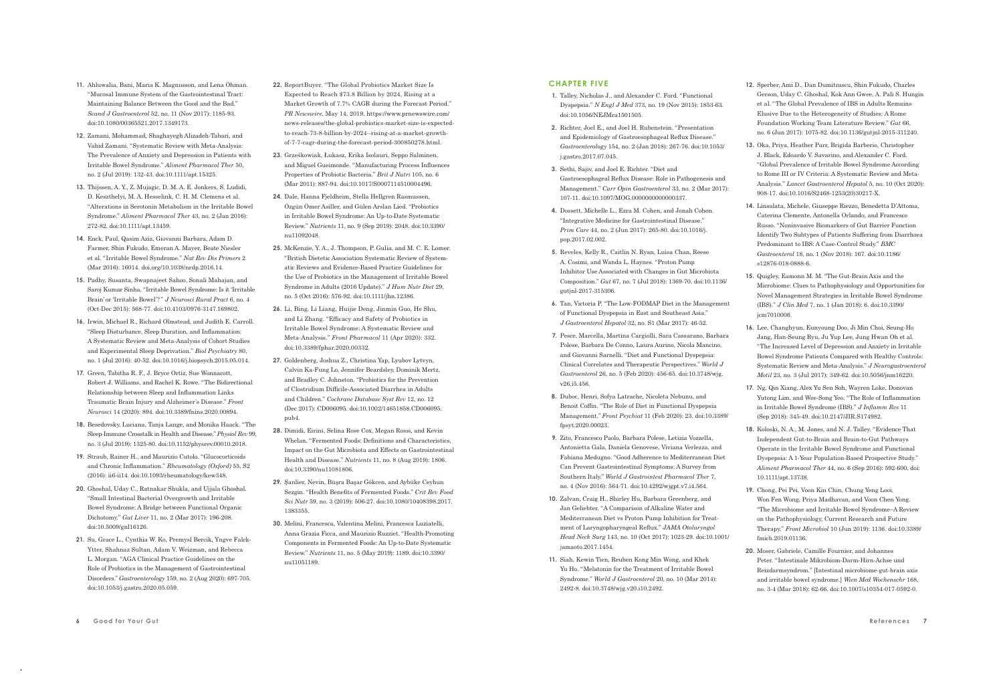- **11.** Ahluwalia, Bani, Maria K. Magnusson, and Lena Öhman. "Mucosal Immune System of the Gastrointestinal Tract: Maintaining Balance Between the Good and the Bad." *Scand J Gastroenterol* 52, no. 11 (Nov 2017): 1185-93. doi:10.1080/00365521.2017.1349173.
- **12.** Zamani, Mohammad, Shaghayegh Alizadeh-Tabari, and Vahid Zamani. "Systematic Review with Meta-Analysis: The Prevalence of Anxiety and Depression in Patients with Irritable Bowel Syndrome." *Aliment Pharmacol Ther* 50, no. 2 (Jul 2019): 132-43. doi:10.1111/apt.15325.
- **13.** Thijssen, A. Y., Z. Mujagic, D. M. A. E. Jonkers, S. Ludidi, D. Keszthelyi, M. A. Hesselink, C. H. M. Clemens et al. "Alterations in Serotonin Metabolism in the Irritable Bowel Syndrome." *Aliment Pharmacol Ther* 43, no. 2 (Jan 2016): 272-82. doi:10.1111/apt.13459.
- **14.** Enck, Paul, Qasim Aziz, Giovanni Barbara, Adam D. Farmer, Shin Fukudo, Emeran A. Mayer, Beate Niesler et al*.* "Irritable Bowel Syndrome." *Nat Rev Dis Primers* 2 (Mar 2016): 16014. doi.org/10.1038/nrdp.2016.14.
- **15.** Padhy, Susanta, Swapnajeet Sahoo, Sonali Mahajan, and Saroj Kumar Sinha. "Irritable Bowel Syndrome: Is it 'Irritable Brain' or 'Irritable Bowel'?" *J Neurosci Rural Pract* 6, no. 4 (Oct-Dec 2015): 568-77. doi:10.4103/0976-3147.169802.
- **16.** Irwin, Michael R., Richard Olmstead, and Judith E. Carroll. "Sleep Disturbance, Sleep Duration, and Inflammation: A Systematic Review and Meta-Analysis of Cohort Studies and Experimental Sleep Deprivation." *Biol Psychiatry* 80, no. 1 (Jul 2016): 40-52. doi:10.1016/j.biopsych.2015.05.014.
- **17.** Green, Tabitha R. F., J. Bryce Ortiz, Sue Wonnacott, Robert J. Williams, and Rachel K. Rowe. "The Bidirectional Relationship between Sleep and Inflammation Links Traumatic Brain Injury and Alzheimer's Disease." *Front Neurosci* 14 (2020): 894. doi:10.3389/fnins.2020.00894.
- **18.** Besedovsky, Luciana, Tanja Lange, and Monika Haack. "The Sleep-Immune Crosstalk in Health and Disease." *Physiol Rev* 99, no. 3 (Jul 2019): 1325-80. doi:10.1152/physrev.00010.2018.
- **19.** Straub, Rainer H., and Maurizio Cutolo. "Glucocorticoids and Chronic Inflammation." *Rheumatology (Oxford)* 55, S2 (2016): ii6-ii14. doi:10.1093/rheumatology/kew348.
- **20.** Ghoshal, Uday C., Ratnakar Shukla, and Ujjala Ghoshal. "Small Intestinal Bacterial Overgrowth and Irritable Bowel Syndrome: A Bridge between Functional Organic Dichotomy." *Gut Liver* 11, no. 2 (Mar 2017): 196-208. doi:10.5009/gnl16126.
- **21.** Su, Grace L., Cynthia W. Ko, Premysl Bercik, Yngve Falck-Ytter, Shahnaz Sultan, Adam V. Weizman, and Rebecca L. Morgan. "AGA Clinical Practice Guidelines on the Role of Probiotics in the Management of Gastrointestinal Disorders." *Gastroenterology* 159, no. 2 (Aug 2020): 697-705. doi:10.1053/j.gastro.2020.05.059.
- **22.** ReportBuyer. "The Global Probiotics Market Size Is Expected to Reach \$73.8 Billion by 2024, Rising at a Market Growth of 7.7% CAGR during the Forecast Period." *PR Newswire*, May 14, 2019. https://www.prnewswire.com/ news-releases/the-global-probiotics-market-size-is-expectedto-reach-73-8-billion-by-2024--rising-at-a-market-growthof-7-7-cagr-during-the-forecast-period-300850278.html.
- **23.** Grześkowiak, Łukasz, Erika Isolauri, Seppo Salminen, and Miguel Gueimonde. "Manufacturing Process Influences Properties of Probiotic Bacteria." *Brit J Nutri* 105, no. 6 (Mar 2011): 887-94. doi:10.1017/S0007114510004496.
- **24.** Dale, Hanna Fjeldheim, Stella Hellgren Rasmussen, Özgün Ömer Asiller, and Gülen Arslan Lied. "Probiotics in Irritable Bowel Syndrome: An Up-to-Date Systematic Review." *Nutrients* 11, no. 9 (Sep 2019): 2048. doi:10.3390/ nu11092048.
- **25.** McKenzie, Y. A., J. Thompson, P. Gulia, and M. C. E. Lomer. "British Dietetic Association Systematic Review of Systematic Reviews and Evidence-Based Practice Guidelines for the Use of Probiotics in the Management of Irritable Bowel Syndrome in Adults (2016 Update)." *J Hum Nutr Diet* 29, no. 5 (Oct 2016): 576-92. doi:10.1111/jhn.12386.
- **26.** Li, Bing, Li Liang, Huijie Deng, Jinmin Guo, He Shu, and Li Zhang. "Efficacy and Safety of Probiotics in Irritable Bowel Syndrome: A Systematic Review and Meta-Analysis." *Front Pharmacol* 11 (Apr 2020): 332. doi:10.3389/fphar.2020.00332.
- **27.** Goldenberg, Joshua Z., Christina Yap, Lyubov Lytvyn, Calvin Ka-Fung Lo, Jennifer Beardsley, Dominik Mertz, and Bradley C. Johnston. "Probiotics for the Prevention of Clostridium Difficile-Associated Diarrhea in Adults and Children." *Cochrane Database Syst Rev* 12, no. 12 (Dec 2017): CD006095. doi:10.1002/14651858.CD006095. pub4.
- **28.** Dimidi, Eirini, Selina Rose Cox, Megan Rossi, and Kevin Whelan. "Fermented Foods: Definitions and Characteristics, Impact on the Gut Microbiota and Effects on Gastrointestinal Health and Disease." *Nutrients* 11, no. 8 (Aug 2019): 1806. doi:10.3390/nu11081806.
- **29.** Şanlier, Nevin, Büşra Başar Gökcen, and Aybüke Ceyhun Sezgin. "Health Benefits of Fermented Foods." *Crit Rev Food Sci Nutr* 59, no. 3 (2019): 506-27. doi:10.1080/10408398.2017. 1383355.
- **30.** Melini, Francesca, Valentina Melini, Francesca Luziatelli, Anna Grazia Ficca, and Maurizio Ruzziet. "Health-Promoting Components in Fermented Foods: An Up-to-Date Systematic Review." *Nutrients* 11, no. 5 (May 2019): 1189. doi:10.3390/ nu11051189.

### **CHAPTER FIVE**

- **1.** Talley, Nicholas J., and Alexander C. Ford. "Functional Dyspepsia." *N Engl J Med* 373, no. 19 (Nov 2015): 1853-63. doi:10.1056/NEJMra1501505.
- **2.** Richter, Joel E., and Joel H. Rubenstein. "Presentation and Epidemiology of Gastroesophageal Reflux Disease." *Gastro enterology* 154, no. 2 (Jan 2018): 267-76. doi:10.1053/ j.gastro.2017.07.045.
- **3.** Sethi, Sajiv, and Joel E. Richter. "Diet and Gastroesophageal Reflux Disease: Role in Pathogenesis and Management." *Curr Opin Gastroenterol* 33, no. 2 (Mar 2017): 107-11. doi:10.1097/MOG.0000000000000337.
- **4.** Dossett, Michelle L., Ezra M. Cohen, and Jonah Cohen. "Integrative Medicine for Gastrointestinal Disease." *Prim Care* 44, no. 2 (Jun 2017): 265-80. doi:10.1016/j. pop.2017.02.002.
- **5.** Reveles, Kelly R., Caitlin N. Ryan, Luisa Chan, Reese A. Cosimi, and Wanda L. Haynes. "Proton Pump Inhibitor Use Associated with Changes in Gut Microbiota Composition." *Gut* 67, no. 7 (Jul 2018): 1369-70. doi:10.1136/ gutjnl-2017-315306.
- **6.** Tan, Victoria P. "The Low-FODMAP Diet in the Management of Functional Dyspepsia in East and Southeast Asia." *J Gastroenterol Hepatol* 32, no. S1 (Mar 2017): 46-52.
- **7.** Pesce, Marcella, Martina Cargiolli, Sara Cassarano, Barbara Polese, Barbara De Conno, Laura Aurino, Nicola Mancino, and Giovanni Sarnelli. "Diet and Functional Dyspepsia: Clinical Correlates and Therapeutic Perspectives." *World J Gastroenterol* 26, no. 5 (Feb 2020): 456-65. doi:10.3748/wjg. v26.i5.456.
- **8.** Duboc, Henri, Sofya Latrache, Nicoleta Nebunu, and Benoit Coffin. "The Role of Diet in Functional Dyspepsia Management." *Front Psychiat* 11 (Feb 2020): 23. doi:10.3389/ fpsyt.2020.00023.
- **9.** Zito, Francesco Paolo, Barbara Polese, Letizia Vozzella, Antonietta Gala, Daniela Genovese, Viviana Verlezza, and Fabiana Medugno. "Good Adherence to Mediterranean Diet Can Prevent Gastrointestinal Symptoms: A Survey from Southern Italy." *World J Gastrointest Pharmacol Ther* 7, no. 4 (Nov 2016): 564-71. doi:10.4292/wjgpt.v7.i4.564.
- **10.** Zalvan, Craig H., Shirley Hu, Barbara Greenberg, and Jan Geliebter. "A Comparison of Alkaline Water and Mediterranean Diet vs Proton Pump Inhibition for Treatment of Laryngopharyngeal Reflux." *JAMA Otolaryngol Head Neck Surg* 143, no. 10 (Oct 2017): 1023-29. doi:10.1001/ jamaoto.2017.1454.
- **11.** Siah, Kewin Tien, Reuben Kong Min Wong, and Khek Yu Ho. "Melatonin for the Treatment of Irritable Bowel Syndrome." *World J Gastroenterol* 20, no. 10 (Mar 2014): 2492-8. doi:10.3748/wjg.v20.i10.2492.
- **12.** Sperber, Ami D., Dan Dumitrascu, Shin Fukudo, Charles Gerson, Uday C. Ghoshal, Kok Ann Gwee, A. Pali S. Hungin et al. "The Global Prevalence of IBS in Adults Remains Elusive Due to the Heterogeneity of Studies: A Rome Foundation Working Team Literature Review." *Gut* 66, no. 6 (Jun 2017): 1075-82. doi:10.1136/gutjnl-2015-311240.
- **13.** Oka, Priya, Heather Parr, Brigida Barberio, Christopher J. Black, Edoardo V. Savarino, and Alexander C. Ford. "Global Prevalence of Irritable Bowel Syndrome According to Rome III or IV Criteria: A Systematic Review and Meta-Analysis." *Lancet Gastroenterol Hepatol* 5, no. 10 (Oct 2020): 908-17. doi:10.1016/S2468-1253(20)30217-X.
- **14.** Linsalata, Michele, Giuseppe Riezzo, Benedetta D'Attoma, Caterina Clemente, Antonella Orlando, and Francesco Russo. "Noninvasive Biomarkers of Gut Barrier Function Identify Two Subtypes of Patients Suffering from Diarrhoea Predominant to IBS: A Case-Control Study." *BMC Gastroenterol* 18, no. 1 (Nov 2018): 167. doi:10.1186/ s12876-018-0888-6.
- **15.** Quigley, Eamonn M. M. "The Gut-Brain Axis and the Microbiome: Clues to Pathophysiology and Opportunities for Novel Management Strategies in Irritable Bowel Syndrome (IBS)." *J Clin Med* 7, no. 1 (Jan 2018): 6. doi:10.3390/ jcm7010006.
- **16.** Lee, Changhyun, Eunyoung Doo, Ji Min Choi, Seung-Ho Jang, Han-Seung Ryu, Ju Yup Lee, Jung Hwan Oh et al. "The Increased Level of Depression and Anxiety in Irritable Bowel Syndrome Patients Compared with Healthy Controls: Systematic Review and Meta-Analysis." *J Neurogastroenterol Motil* 23, no. 3 (Jul 2017): 349-62. doi:10.5056/jnm16220.
- **17.** Ng, Qin Xiang, Alex Yu Sen Soh, Wayren Loke, Donovan Yutong Lim, and Wee-Song Yeo. "The Role of Inflammation in Irritable Bowel Syndrome (IBS)." *J Inflamm Res* 11 (Sep 2018): 345-49. doi:10.2147/JIR.S174982.
- **18.** Koloski, N. A., M. Jones, and N. J. Talley. "Evidence That Independent Gut-to-Brain and Brain-to-Gut Pathways Operate in the Irritable Bowel Syndrome and Functional Dyspepsia: A 1-Year Population-Based Prospective Study." *Aliment Pharmacol Ther* 44, no. 6 (Sep 2016): 592-600. doi: 10.1111/apt.13738.
- **19.** Chong, Pei Pei, Voon Kin Chin, Chung Yeng Looi, Won Fen Wong, Priya Madhavan, and Voon Chen Yong. "The Microbiome and Irritable Bowel Syndrome–A Review on the Pathophysiology, Current Research and Future Therapy." *Front Microbiol* 10 (Jun 2019): 1136. doi:10.3389/ fmicb.2019.01136.
- **20.** Moser, Gabriele, Camille Fournier, and Johannes Peter. " Intestinale Mikrobiom-Darm-Hirn-Achse und Reizdarmsyndrom." [Intestinal microbiome-gut-brain axis and irritable bowel syndrome.] *Wien Med Wochenschr* 168, no. 3-4 (Mar 2018): 62-66. doi:10.1007/s10354-017-0592-0.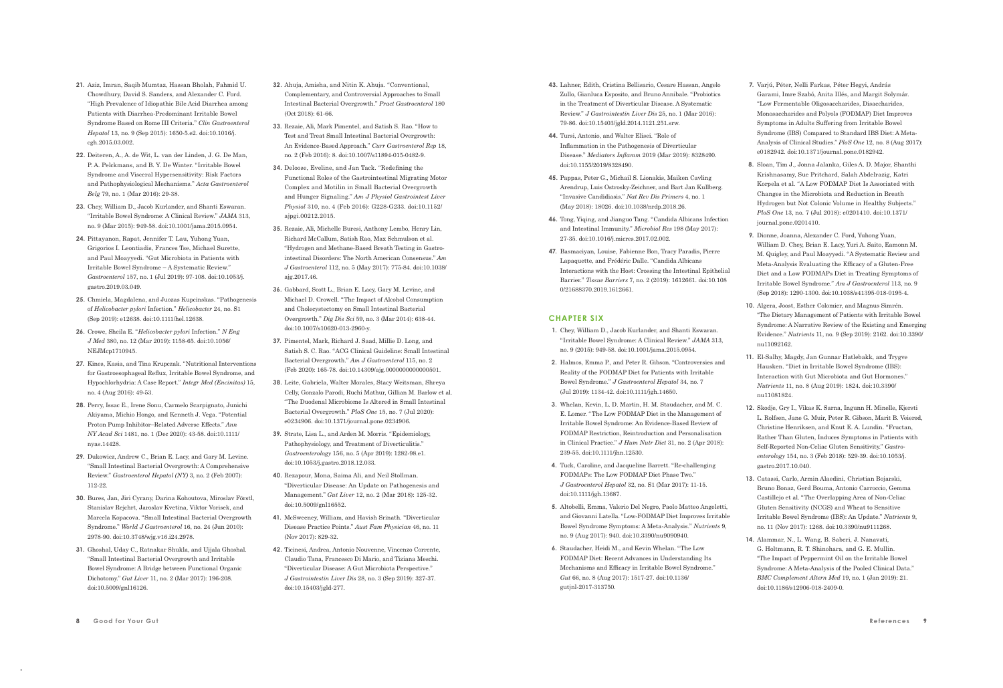- **21.** Aziz, Imran, Saqib Mumtaz, Hassan Bholah, Fahmid U. Chowdhury, David S. Sanders, and Alexander C. Ford. "High Prevalence of Idiopathic Bile Acid Diarrhea among Patients with Diarrhea-Predominant Irritable Bowel Syndrome Based on Rome III Criteria." *Clin Gastroenterol Hepatol* 13, no. 9 (Sep 2015): 1650-5.e2. doi:10.1016/j. cgh.2015.03.002.
- **22.** Deiteren, A., A. de Wit, L. van der Linden, J. G. De Man, P. A. Pelckmans, and B. Y. De Winter. "Irritable Bowel Syndrome and Visceral Hypersensitivity: Risk Factors and Pathophysiological Mechanisms." *Acta Gastroenterol Belg* 79, no. 1 (Mar 2016): 29-38.
- **23.** Chey, William D., Jacob Kurlander, and Shanti Eswaran. "Irritable Bowel Syndrome: A Clinical Review." *JAMA* 313, no. 9 (Mar 2015): 949-58. doi:10.1001/jama.2015.0954.
- **24.** Pittayanon, Rapat, Jennifer T. Lau, Yuhong Yuan, Grigorios I. Leontiadis, Frances Tse, Michael Surette, and Paul Moayyedi. "Gut Microbiota in Patients with Irri table Bowel Syndrome – A Systematic Review." *Gastroenterol* 157, no. 1 (Jul 2019): 97-108. doi:10.1053/j. gastro.2019.03.049.
- **25.** Chmiela, Magdalena, and Juozas Kupcinskas. "Pathogenesis of *Helicobacter pylori* Infection." *Helicobacter* 24, no. S1 (Sep 2019): e12638. doi:10.1111/hel.12638.
- **26.** Crowe, Sheila E. "*Helicobacter pylori* Infection." *N Eng J Med* 380, no. 12 (Mar 2019): 1158-65. doi:10.1056/ NEJMcp1710945.
- **27.** Kines, Kasia, and Tina Krupczak. "Nutritional Interventions for Gastroesophageal Reflux, Irritable Bowel Syndrome, and Hypochlorhydria: A Case Report." *Integr Med (Encinitas)* 15, no. 4 (Aug 2016): 49-53.
- **28.** Perry, Issac E., Irene Sonu, Carmelo Scarpignato, Junichi Akiyama, Michio Hongo, and Kenneth J. Vega. "Potential Proton Pump Inhibitor–Related Adverse Effects." *Ann NY Acad Sci* 1481, no. 1 (Dec 2020): 43-58. doi:10.1111/ nyas.14428.
- **29.** Dukowicz, Andrew C., Brian E. Lacy, and Gary M. Levine. "Small Intestinal Bacterial Overgrowth: A Comprehensive Review." *Gastroenterol Hepatol (NY)* 3, no. 2 (Feb 2007): 112-22.
- **30.** Bures, Jan, Jiri Cyrany, Darina Kohoutova, Miroslav Förstl, Stanislav Rejchrt, Jaroslav Kvetina, Viktor Vorisek, and Marcela Kopacova. "Small Intestinal Bacterial Overgrowth Syndrome." *World J Gastroenterol* 16, no. 24 (Jun 2010): 2978-90. doi:10.3748/wjg.v16.i24.2978.
- **31.** Ghoshal, Uday C., Ratnakar Shukla, and Ujjala Ghoshal. "Small Intestinal Bacterial Overgrowth and Irritable Bowel Syndrome: A Bridge between Functional Organic Dichotomy." *Gut Liver* 11, no. 2 (Mar 2017): 196-208. doi:10.5009/gnl16126.
- **32.** Ahuja, Amisha, and Nitin K. Ahuja. "Conventional, Complementary, and Controversial Approaches to Small Intestinal Bacterial Overgrowth." *Pract Gastroenterol* 180 (Oct 2018): 61-66.
- **33.** Rezaie, Ali, Mark Pimentel, and Satish S. Rao. "How to Test and Treat Small Intestinal Bacterial Overgrowth: An Evidence-Based Approach." *Curr Gastroenterol Rep* 18, no. 2 (Feb 2016): 8. doi:10.1007/s11894-015-0482-9.
- **34.** Deloose, Eveline, and Jan Tack. "Redefining the Functional Roles of the Gastrointestinal Migrating Motor Complex and Motilin in Small Bacterial Overgrowth and Hunger Signaling." *Am J Physiol Gastrointest Liver Physiol* 310, no. 4 (Feb 2016): G228-G233. doi:10.1152/ ajpgi.00212.2015.
- **35.** Rezaie, Ali, Michelle Buresi, Anthony Lembo, Henry Lin, Richard McCallum, Satish Rao, Max Schmulson et al. "Hydrogen and Methane-Based Breath Testing in Gastrointestinal Disorders: The North American Consensus." *Am J Gastroenterol* 112, no. 5 (May 2017): 775-84. doi:10.1038/ ajg.2017.46.
- **36.** Gabbard, Scott L., Brian E. Lacy, Gary M. Levine, and Michael D. Crowell. "The Impact of Alcohol Consumption and Cholecystectomy on Small Intestinal Bacterial Overgrowth." *Dig Dis Sci* 59, no. 3 (Mar 2014): 638-44. doi:10.1007/s10620-013-2960-y.
- **37.** Pimentel, Mark, Richard J. Saad, Millie D. Long, and Satish S. C. Rao. "ACG Clinical Guideline: Small Intestinal Bacterial Overgrowth." *Am J Gastroenterol* 115, no. 2 (Feb 2020): 165-78. doi:10.14309/ajg.0000000000000501.
- **38.** Leite, Gabriela, Walter Morales, Stacy Weitsman, Shreya Celly, Gonzalo Parodi, Ruchi Mathur, Gillian M. Barlow et al. "The Duodenal Microbiome Is Altered in Small Intestinal Bacterial Overgrowth." *PloS One* 15, no. 7 (Jul 2020): e0234906. doi:10.1371/journal.pone.0234906.
- **39.** Strate, Lisa L., and Arden M. Morris. "Epidemiology, Pathophysiology, and Treatment of Diverticulitis." *Gastroenterology* 156, no. 5 (Apr 2019): 1282-98.e1. doi:10.1053/j.gastro.2018.12.033.
- **40.** Rezapour, Mona, Saima Ali, and Neil Stollman. "Diverticular Disease: An Update on Pathogenesis and Management." *Gut Liver* 12, no. 2 (Mar 2018): 125-32. doi:10.5009/gnl16552.
- **41.** McSweeney, William, and Havish Srinath. "Diverticular Disease Practice Points." *Aust Fam Physician* 46, no. 11 (Nov 2017): 829-32.
- **42.** Ticinesi, Andrea, Antonio Nouvenne, Vincenzo Corrente, Claudio Tana, Francesco Di Mario, and Tiziana Meschi. "Diverticular Disease: A Gut Microbiota Perspective." *J Gastrointestin Liver Dis* 28, no. 3 (Sep 2019): 327-37. doi:10.15403/jgld-277.
- **43.** Lahner, Edith, Cristina Bellisario, Cesare Hassan, Angelo Zullo, Gianluca Esposito, and Bruno Annibale. "Probiotics in the Treatment of Diverticular Disease. A Systematic Review." *J Gastrointestin Liver Dis* 25, no. 1 (Mar 2016): 79-86. doi:10.15403/jgld.2014.1121.251.srw.
- **44.** Tursi, Antonio, and Walter Elisei. "Role of Inflammation in the Pathogenesis of Diverticular Disease." *Mediators Inflamm* 2019 (Mar 2019): 8328490. doi:10.1155/2019/8328490.
- **45.** Pappas, Peter G., Michail S. Lionakis, Maiken Cavling Arendrup, Luis Ostrosky-Zeichner, and Bart Jan Kullberg. "Invasive Candidiasis." *Nat Rev Dis Primers* 4, no. 1 (May 2018): 18026. doi:10.1038/nrdp.2018.26.
- **46.** Tong, Yiqing, and Jianguo Tang. "Candida Albicans Infection and Intestinal Immunity." *Microbiol Res* 198 (May 2017): 27-35. doi:10.1016/j.micres.2017.02.002.
- **47.** Basmaciyan, Louise, Fabienne Bon, Tracy Paradis, Pierre Lapaquette, and Frédéric Dalle. "Candida Albicans Interactions with the Host: Crossing the Intestinal Epithelial Barrier." *Tissue Barriers* 7, no. 2 (2019): 1612661. doi:10.108 0/21688370.2019.1612661.

## **CHAPTER SIX**

- **1.** Chey, William D., Jacob Kurlander, and Shanti Eswaran. "Irritable Bowel Syndrome: A Clinical Review." *JAMA* 313, no. 9 (2015): 949-58. doi:10.1001/jama.2015.0954.
- **2.** Halmos, Emma P., and Peter R. Gibson. "Controversies and Reality of the FODMAP Diet for Patients with Irritable Bowel Syndrome." *J Gastroenterol Hepatol* 34, no. 7 (Jul 2019): 1134-42. doi:10.1111/jgh.14650.
- **3.** Whelan, Kevin, L. D. Martin, H. M. Staudacher, and M. C. E. Lomer. "The Low FODMAP Diet in the Management of Irritable Bowel Syndrome: An Evidence-Based Review of FODMAP Restriction, Reintroduction and Personalisation in Clinical Practice." *J Hum Nutr Diet* 31, no. 2 (Apr 2018): 239-55. doi:10.1111/jhn.12530.
- **4.** Tuck, Caroline, and Jacqueline Barrett. "Re-challenging FODMAPs: The Low FODMAP Diet Phase Two." *J Gastroenterol Hepatol* 32, no. S1 (Mar 2017): 11-15. doi:10.1111/jgh.13687.
- **5.** Altobelli, Emma, Valerio Del Negro, Paolo Matteo Angeletti, and Giovanni Latella. "Low-FODMAP Diet Improves Irritable Bowel Syndrome Symptoms: A Meta-Analysis." *Nutrients* 9, no. 9 (Aug 2017): 940. doi:10.3390/nu9090940.
- **6.** Staudacher, Heidi M., and Kevin Whelan. "The Low FODMAP Diet: Recent Advances in Understanding Its Mechanisms and Efficacy in Irritable Bowel Syndrome.' *Gut* 66, no. 8 (Aug 2017): 1517-27. doi:10.1136/ gutjnl-2017-313750.
- **7.** Varjú, Péter, Nelli Farkas, Péter Hegyi, András Garami, Imre Szabó, Anita Illés, and Margit Solymár. "Low Fermentable Oligosaccharides, Disaccharides, Monosaccharides and Polyols (FODMAP) Diet Improves Symptoms in Adults Suffering from Irritable Bowel Syndrome (IBS) Compared to Standard IBS Diet: A Meta-Analysis of Clinical Studies." *PloS One* 12, no. 8 (Aug 2017): e0182942. doi:10.1371/journal.pone.0182942.
- **8.** Sloan, Tim J., Jonna Jalanka, Giles A. D. Major, Shanthi Krishnasamy, Sue Pritchard, Salah Abdelrazig, Katri Korpela et al. "A Low FODMAP Diet Is Associated with Changes in the Microbiota and Reduction in Breath Hydrogen but Not Colonic Volume in Healthy Subjects." *PloS One* 13, no. 7 (Jul 2018): e0201410. doi:10.1371/ journal.pone.0201410.
- **9.** Dionne, Joanna, Alexander C. Ford, Yuhong Yuan, William D. Chey, Brian E. Lacy, Yuri A. Saito, Eamonn M. M. Quigley, and Paul Moayyedi. "A Systematic Review and Meta-Analysis Evaluating the Efficacy of a Gluten-Free Diet and a Low FODMAPs Diet in Treating Symptoms of Irritable Bowel Syndrome." *Am J Gastroenterol* 113, no. 9 (Sep 2018): 1290-1300. doi:10.1038/s41395-018-0195-4.
- **10.** Algera, Joost, Esther Colomier, and Magnus Simrén. "The Dietary Management of Patients with Irritable Bowel Syndrome: A Narrative Review of the Existing and Emerging Evidence." *Nutrients* 11, no. 9 (Sep 2019): 2162. doi:10.3390/ nu11092162.
- **11.** El-Salhy, Magdy, Jan Gunnar Hatlebakk, and Trygve Hausken. "Diet in Irritable Bowel Syndrome (IBS): Interaction with Gut Microbiota and Gut Hormones." *Nutrients* 11, no. 8 (Aug 2019): 1824. doi:10.3390/ nu11081824.
- **12.** Skodje, Gry I., Vikas K. Sarna, Ingunn H. Minelle, Kjersti L. Rolfsen, Jane G. Muir, Peter R. Gibson, Marit B. Veierød, Christine Henriksen, and Knut E. A. Lundin. "Fructan, Rather Than Gluten, Induces Symptoms in Patients with Self-Reported Non-Celiac Gluten Sensitivity." *Gastroenterology* 154, no. 3 (Feb 2018): 529-39. doi:10.1053/j. gastro.2017.10.040.
- **13.** Catassi, Carlo, Armin Alaedini, Christian Bojarski, Bruno Bonaz, Gerd Bouma, Antonio Carroccio, Gemma Castillejo et al. "The Overlapping Area of Non-Celiac Gluten Sensitivity (NCGS) and Wheat to Sensitive Irritable Bowel Syndrome (IBS): An Update." *Nutrients* 9, no. 11 (Nov 2017): 1268. doi:10.3390/nu9111268.
- **14.** Alammar, N., L. Wang, B. Saberi, J. Nanavati, G. Holtmann, R. T. Shinohara, and G. E. Mullin. "The Impact of Peppermint Oil on the Irritable Bowel Syndrome: A Meta-Analysis of the Pooled Clinical Data." *BMC Complement Altern Med* 19, no. 1 (Jan 2019): 21. doi:10.1186/s12906-018-2409-0.